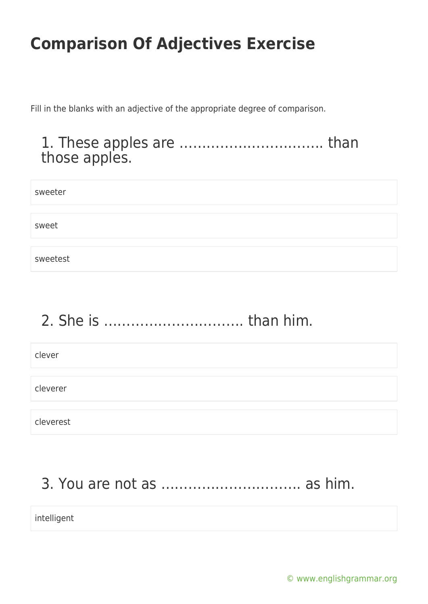Fill in the blanks with an adjective of the appropriate degree of comparison.

### 1. These apples are ………………………….. than those apples.

| sweeter  |  |
|----------|--|
|          |  |
| sweet    |  |
|          |  |
| sweetest |  |

# 2. She is …………………………. than him.

clever

cleverer

cleverest

### 3. You are not as …………………………. as him.

intelligent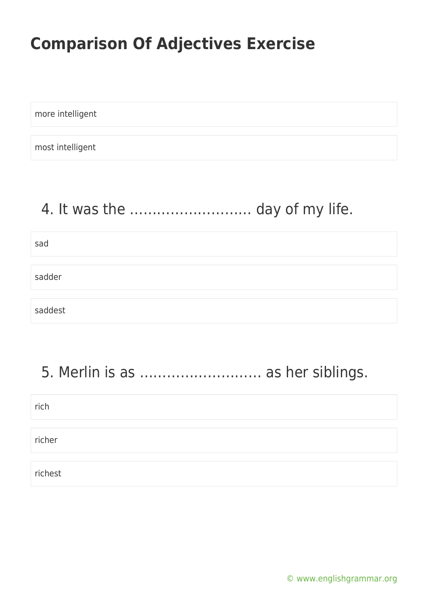more intelligent

most intelligent

### 4. It was the ……………………… day of my life.

sad sadder saddest

### 5. Merlin is as ……………………… as her siblings.

| rich    |  |
|---------|--|
|         |  |
| richer  |  |
|         |  |
| richest |  |

[© www.englishgrammar.org](https://www.englishgrammar.org/)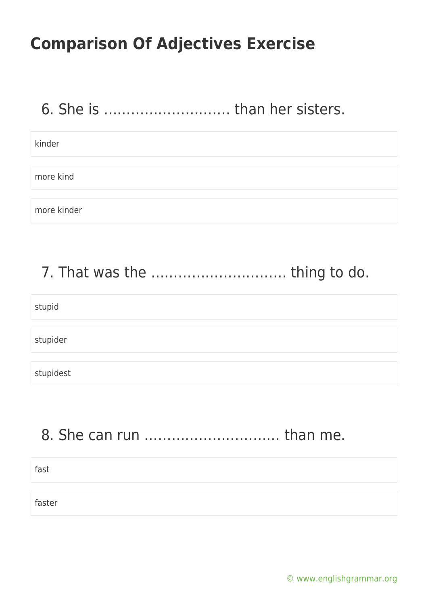### 6. She is ………………………. than her sisters.

kinder

more kind

more kinder

### 7. That was the ………………………… thing to do.

#### stupid

stupider

stupidest

### 8. She can run ………………………… than me.

fast faster

[© www.englishgrammar.org](https://www.englishgrammar.org/)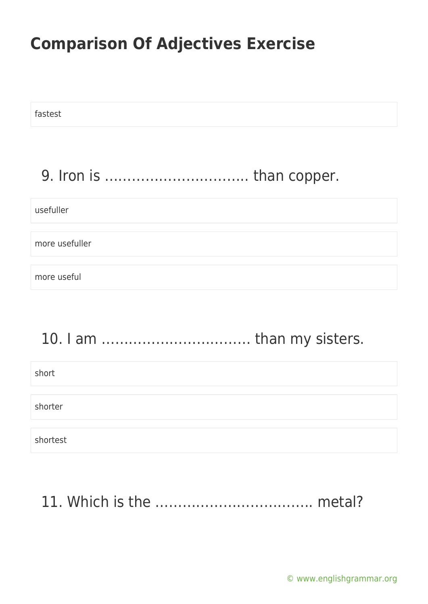| fastest        |  |
|----------------|--|
|                |  |
| usefuller      |  |
| more usefuller |  |
| more useful    |  |
|                |  |

### 10. I am …………………………… than my sisters.

| short    |  |  |
|----------|--|--|
|          |  |  |
| shorter  |  |  |
|          |  |  |
| shortest |  |  |

### 11. Which is the …………………………….. metal?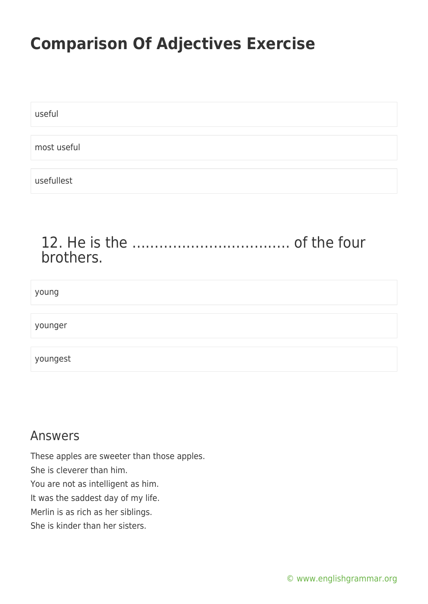| useful      |  |
|-------------|--|
|             |  |
| most useful |  |
|             |  |
| usefullest  |  |

### 12. He is the …………………………….. of the four brothers.

# young younger youngest

### Answers

These apples are sweeter than those apples.

She is cleverer than him.

You are not as intelligent as him.

It was the saddest day of my life.

Merlin is as rich as her siblings.

She is kinder than her sisters.